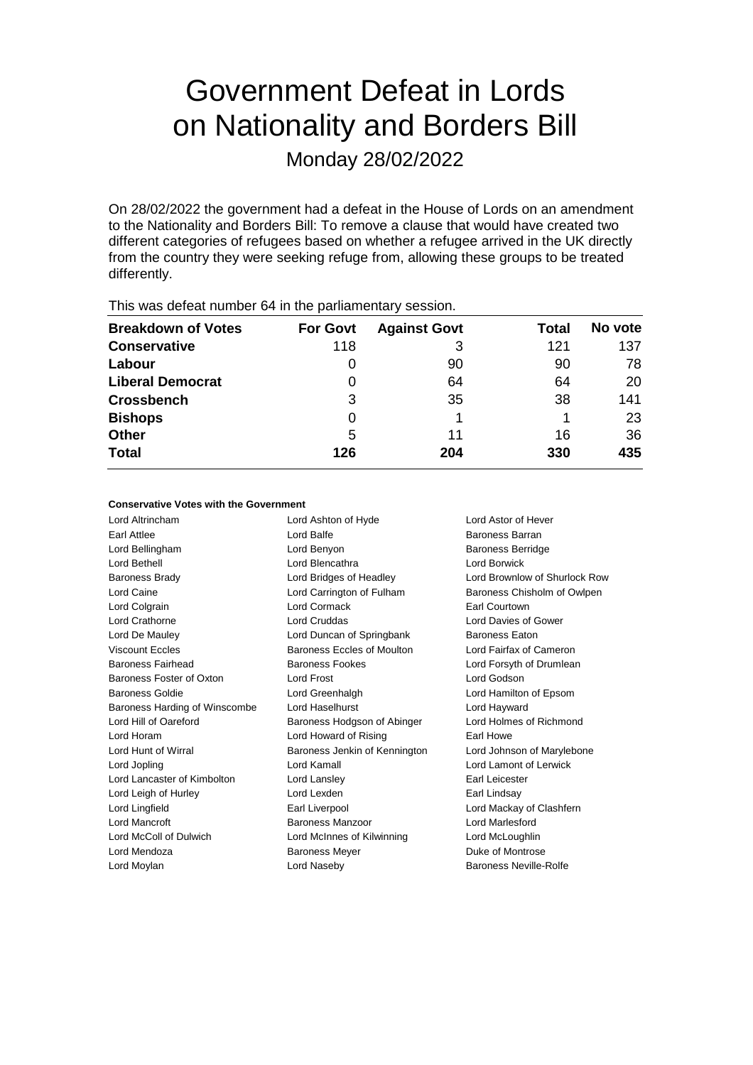# Government Defeat in Lords on Nationality and Borders Bill

Monday 28/02/2022

On 28/02/2022 the government had a defeat in the House of Lords on an amendment to the Nationality and Borders Bill: To remove a clause that would have created two different categories of refugees based on whether a refugee arrived in the UK directly from the country they were seeking refuge from, allowing these groups to be treated differently.

| This was abloat harmoor of in the parliamentary occolor. |                 |                     |       |         |  |  |  |  |
|----------------------------------------------------------|-----------------|---------------------|-------|---------|--|--|--|--|
| <b>Breakdown of Votes</b>                                | <b>For Govt</b> | <b>Against Govt</b> | Total | No vote |  |  |  |  |
| <b>Conservative</b>                                      | 118             | 3                   | 121   | 137     |  |  |  |  |
| Labour                                                   |                 | 90                  | 90    | 78      |  |  |  |  |
| <b>Liberal Democrat</b>                                  | 0               | 64                  | 64    | 20      |  |  |  |  |
| <b>Crossbench</b>                                        | 3               | 35                  | 38    | 141     |  |  |  |  |
| <b>Bishops</b>                                           | 0               |                     |       | 23      |  |  |  |  |
| <b>Other</b>                                             | 5               | 11                  | 16    | 36      |  |  |  |  |
| <b>Total</b>                                             | 126             | 204                 | 330   | 435     |  |  |  |  |
|                                                          |                 |                     |       |         |  |  |  |  |

This was defeat number 64 in the parliamentary session.

## **Conservative Votes with the Government**

Lord Altrincham Lord Ashton of Hyde Lord Astor of Hever Earl Attlee **Lord Balfe** Lord Balfe **Baroness Barran** Lord Bellingham Lord Benyon Baroness Berridge Lord Bethell Lord Blencathra Lord Borwick Baroness Brady Lord Bridges of Headley Lord Brownlow of Shurlock Row Lord Caine Lord Carrington of Fulham Baroness Chisholm of Owlpen Lord Colgrain Lord Cormack Earl Courtown Lord Crathorne Lord Cruddas Lord Davies of Gower Lord De Mauley **Lord Duncan of Springbank** Baroness Eaton Viscount Eccles **Baroness Eccles of Moulton** Lord Fairfax of Cameron Lord Eccles Baroness Fairhead Baroness Fookes Lord Forsyth of Drumlean Baroness Foster of Oxton Lord Frost Lord Godson Baroness Goldie Lord Greenhalgh Lord Hamilton of Epsom Baroness Harding of Winscombe Lord Haselhurst Lord Hayward Lord Hill of Oareford **Baroness Hodgson of Abinger** Lord Holmes of Richmond Lord Horam **Lord Howard of Rising** Earl Howe Lord Hunt of Wirral Baroness Jenkin of Kennington Lord Johnson of Marylebone Lord Jopling Lord Kamall Lord Lamont of Lerwick Lord Lancaster of Kimbolton Lord Lansley Carl Leicester Lord Leigh of Hurley **Lord Lexden** Earl Lindsay Lord Lingfield **Earl Liverpool** Earl Liverpool **Earl Lord Mackay of Clashfern** Lord Mancroft Baroness Manzoor Lord Marlesford Lord McColl of Dulwich Lord McInnes of Kilwinning Lord McLoughlin Lord Mendoza **Baroness Meyer** Baroness Meyer **Duke of Montrose** Lord Moylan Lord Naseby Baroness Neville-Rolfe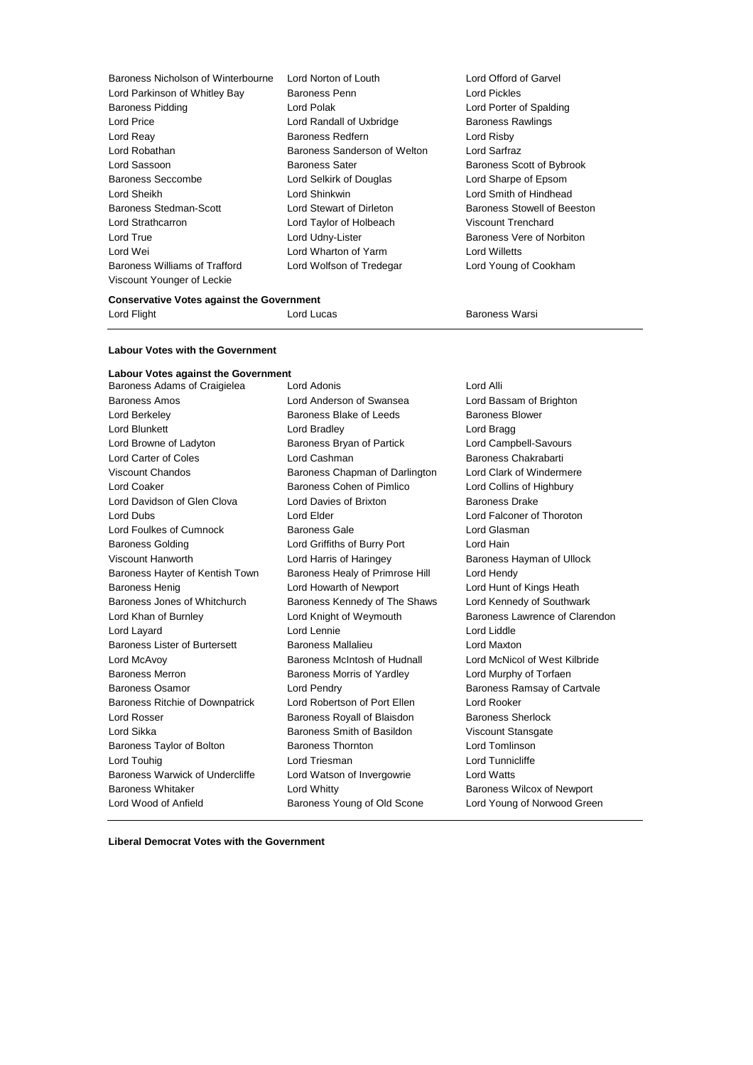| Baroness Nicholson of Winterbourne | Lord Norton of Louth         | Lord Offord of Garvel       |
|------------------------------------|------------------------------|-----------------------------|
| Lord Parkinson of Whitley Bay      | Baroness Penn                | Lord Pickles                |
| <b>Baroness Pidding</b>            | Lord Polak                   | Lord Porter of Spalding     |
| Lord Price                         | Lord Randall of Uxbridge     | <b>Baroness Rawlings</b>    |
| Lord Reay                          | Baroness Redfern             | Lord Risby                  |
| Lord Robathan                      | Baroness Sanderson of Welton | Lord Sarfraz                |
| Lord Sassoon                       | <b>Baroness Sater</b>        | Baroness Scott of Bybrook   |
| Baroness Seccombe                  | Lord Selkirk of Douglas      | Lord Sharpe of Epsom        |
| Lord Sheikh                        | Lord Shinkwin                | Lord Smith of Hindhead      |
| Baroness Stedman-Scott             | Lord Stewart of Dirleton     | Baroness Stowell of Beeston |
| Lord Strathcarron                  | Lord Taylor of Holbeach      | Viscount Trenchard          |
| Lord True                          | Lord Udny-Lister             | Baroness Vere of Norbiton   |
| Lord Wei                           | Lord Wharton of Yarm         | Lord Willetts               |
| Baroness Williams of Trafford      | Lord Wolfson of Tredegar     | Lord Young of Cookham       |
| Viscount Younger of Leckie         |                              |                             |

#### **Conservative Votes against the Government**

Lord Flight **Lord Lucas** Lord Lucas **Baroness Warsi** 

## **Labour Votes with the Government**

**Labour Votes against the Government** Baroness Adams of Craigielea Lord Adonis Lord Alli Baroness Amos Lord Anderson of Swansea Lord Bassam of Brighton Lord Berkeley **Baroness Blake of Leeds** Baroness Blower Lord Blunkett **Lord Bradley** Lord Bradley **Lord Bragg** Lord Browne of Ladyton Baroness Bryan of Partick Lord Campbell-Savours Lord Carter of Coles **Lord Cashman Lord Cashman** Baroness Chakrabarti Viscount Chandos **Baroness Chapman of Darlington** Lord Clark of Windermere Lord Coaker Baroness Cohen of Pimlico Lord Collins of Highbury Lord Davidson of Glen Clova Lord Davies of Brixton Baroness Drake Lord Dubs Lord Elder Lord Falconer of Thoroton Lord Foulkes of Cumnock Baroness Gale Cumnock Baroness Gale Baroness Golding **Lord Griffiths of Burry Port** Lord Hain Viscount Hanworth **Lord Harris of Haringey** Baroness Hayman of Ullock Baroness Hayter of Kentish Town Baroness Healy of Primrose Hill Lord Hendy Baroness Henig **Lord Howarth of Newport** Lord Hunt of Kings Heath Baroness Jones of Whitchurch Baroness Kennedy of The Shaws Lord Kennedy of Southwark Lord Khan of Burnley **Lord Knight of Weymouth** Baroness Lawrence of Clarendon<br>
Lord Lord Lord Lord Lennie **Lord Lord Lord Lord Lord Liddle** Lord Layard **Lord Lennie** Baroness Lister of Burtersett Baroness Mallalieu Lord Maxton Lord McAvoy Baroness McIntosh of Hudnall Lord McNicol of West Kilbride Baroness Merron **Baroness Morris of Yardley** Lord Murphy of Torfaen Baroness Osamor **Example 2** Lord Pendry **Baroness Ramsay of Cartvale** Baroness Ritchie of Downpatrick Lord Robertson of Port Ellen Lord Rooker Lord Rosser Baroness Royall of Blaisdon Baroness Sherlock Lord Sikka Baroness Smith of Basildon Viscount Stansgate Baroness Taylor of Bolton Baroness Thornton Lord Tomlinson Lord Touhig **Lord Triesman** Lord Triesman **Lord Tunnicliffe** Baroness Warwick of Undercliffe Lord Watson of Invergowrie Lord Watts Baroness Whitaker **Lord Whitty Lord Whitty** Baroness Wilcox of Newport Lord Wood of Anfield **Baroness Young of Old Scone** Lord Young of Norwood Green

**Liberal Democrat Votes with the Government**